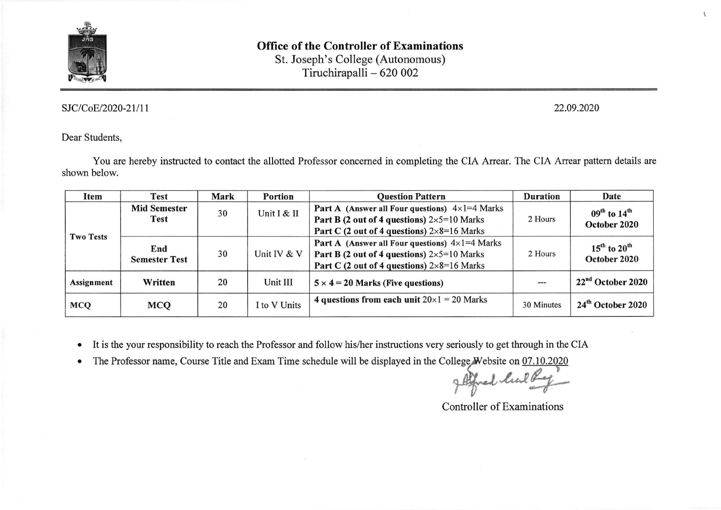

# Office of the Controller of Examinations St. Joseph's College (Autonomous)

Tiruchirapalli - 620 <sup>002</sup>

## SJC/CoE/2020-21/11

22.09.2020

 $\mathbf{I}$ 

## Dear Students.

You are hereby instructed to contact the allotted Professor concerned in completing the CIA Arrear. The CIA Arrear pattern details are shown below.

| Item             | <b>Test</b>                        | Mark | Portion     | <b>Question Pattern</b>                                                                                                                                                                   | <b>Duration</b> | Date                                                 |
|------------------|------------------------------------|------|-------------|-------------------------------------------------------------------------------------------------------------------------------------------------------------------------------------------|-----------------|------------------------------------------------------|
| <b>Two Tests</b> | <b>Mid Semester</b><br><b>Test</b> | 30   | Unit I & II | <b>Part A</b> (Answer all Four questions) $4 \times 1 = 4$ Marks<br><b>Part B (2 out of 4 questions)</b> $2 \times 5 = 10$ Marks<br>Part C (2 out of 4 questions) $2 \times 8 = 16$ Marks | 2 Hours         | $09^{\text{th}}$ to $14^{\text{th}}$<br>October 2020 |
|                  | End<br><b>Semester Test</b>        | 30   | Unit IV & V | <b>Part A</b> (Answer all Four questions) $4 \times 1 = 4$ Marks<br>Part B (2 out of 4 questions) $2\times5=10$ Marks<br>Part C (2 out of 4 questions) $2 \times 8 = 16$ Marks            | 2 Hours         | $15^{\text{th}}$ to $20^{\text{th}}$<br>October 2020 |
| Assignment       | Written                            | 20   | Unit III    | $5 \times 4 = 20$ Marks (Five questions)                                                                                                                                                  | $\cdots$        | $22nd$ October 2020                                  |
| <b>MCQ</b>       | <b>MCQ</b>                         | 20   | to V Units  | 4 questions from each unit $20 \times 1 = 20$ Marks                                                                                                                                       | 30 Minutes      | 24 <sup>th</sup> October 2020                        |

It is the your responsibility to reach the Professor and follow his/her instructions very seriously to get through in the CIA  $\bullet$ 

a The Professor name, Course Title and Exam Time schedule will be displayed in the College Website on 07.10.2020 html P-et

Controller of Examinations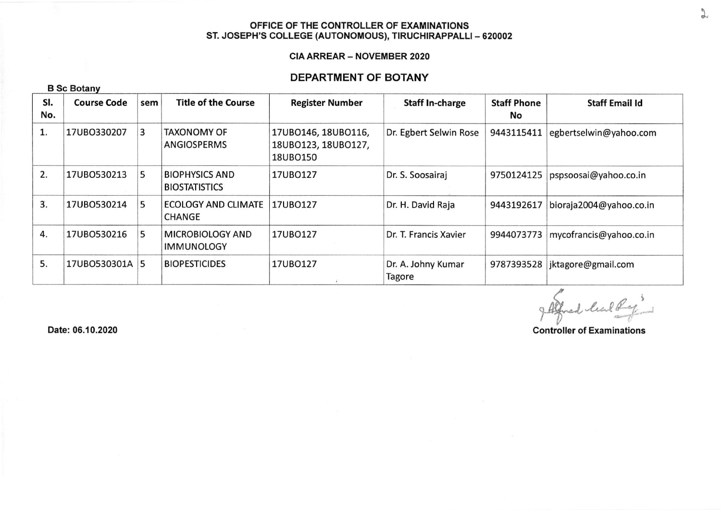#### OFFICE OF THE CONTROLLER OF EXAMINATIONS ST. JOSEPH'S COLLEGE (AUTONOMOUS), TIRUCHIRAPPALLI - 620002

#### CIA ARREAR \_ NOVEMBER 2O2O

## DEPARTMENT OF BOTANY

| <b>B Sc Botany</b> |
|--------------------|
|                    |

| SI.<br>No. | <b>Course Code</b> | sem | <b>Title of the Course</b>                    | <b>Register Number</b>                                 | <b>Staff In-charge</b>       | <b>Staff Phone</b><br>No | <b>Staff Email Id</b>   |
|------------|--------------------|-----|-----------------------------------------------|--------------------------------------------------------|------------------------------|--------------------------|-------------------------|
|            | 17UB0330207        | 3   | <b>TAXONOMY OF</b><br>ANGIOSPERMS             | 17UBO146, 18UBO116,<br>18UB0123, 18UB0127,<br>18UBO150 | Dr. Egbert Selwin Rose       | 9443115411               | egbertselwin@yahoo.com  |
| 2.         | 17UB0530213        | 5   | <b>BIOPHYSICS AND</b><br><b>BIOSTATISTICS</b> | 17UBO127                                               | Dr. S. Soosairaj             | 9750124125               | pspsoosai@yahoo.co.in   |
| 3.         | 17UB0530214        | 5   | <b>ECOLOGY AND CLIMATE</b><br><b>CHANGE</b>   | 17UBO127                                               | Dr. H. David Raja            | 9443192617               | bioraja2004@yahoo.co.in |
| 4.         | 17UB0530216        | 5   | MICROBIOLOGY AND<br><b>IMMUNOLOGY</b>         | 17UB0127                                               | Dr. T. Francis Xavier        | 9944073773               | mycofrancis@yahoo.co.in |
| 5.         | 17UBO530301A 5     |     | <b>BIOPESTICIDES</b>                          | 17UB0127                                               | Dr. A. Johny Kumar<br>Tagore | 9787393528               | jktagore@gmail.com      |

g Alfred luck Regi

Date: 05.10.2020

Gontroller of Examinations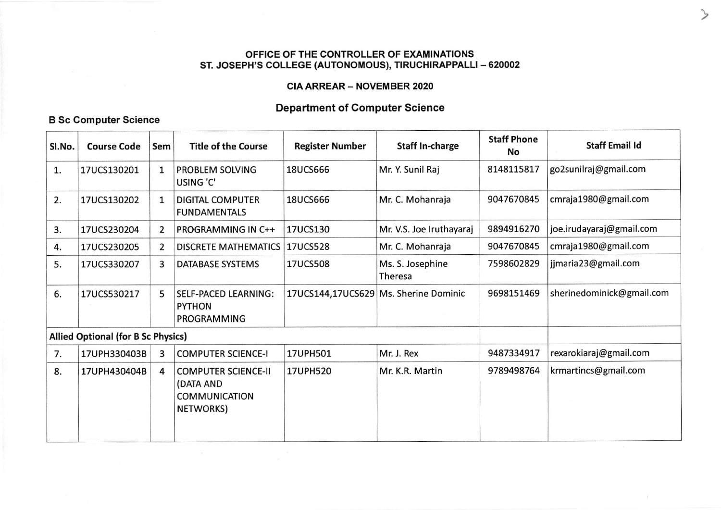#### OFFICE OF THE CONTROLLER OF EXAMINATIONS ST. JOSEPH'S COLLEGE (AUTONOMOUS), TIRUCHIRAPPALLI - 620002

## **CIA ARREAR - NOVEMBER 2020**

# **Department of Computer Science**

## **B Sc Computer Science**

| Sl.No.                                    | <b>Course Code</b> | Sem            | <b>Title of the Course</b>                                                   | <b>Register Number</b>                | <b>Staff In-charge</b>      | <b>Staff Phone</b><br>No | <b>Staff Email Id</b>     |  |
|-------------------------------------------|--------------------|----------------|------------------------------------------------------------------------------|---------------------------------------|-----------------------------|--------------------------|---------------------------|--|
| 1.                                        | 17UCS130201        | $\mathbf{1}$   | PROBLEM SOLVING<br><b>USING 'C'</b>                                          | <b>18UCS666</b>                       | Mr. Y. Sunil Raj            | 8148115817               | go2sunilraj@gmail.com     |  |
| 2.                                        | 17UCS130202        | $\mathbf{1}$   | <b>DIGITAL COMPUTER</b><br><b>FUNDAMENTALS</b>                               | <b>18UCS666</b>                       | Mr. C. Mohanraja            | 9047670845               | cmraja1980@gmail.com      |  |
| 3.                                        | 17UCS230204        | $\overline{2}$ | <b>PROGRAMMING IN C++</b>                                                    | 17UCS130                              | Mr. V.S. Joe Iruthayaraj    | 9894916270               | joe.irudayaraj@gmail.com  |  |
| 4.                                        | 17UCS230205        | 2              | DISCRETE MATHEMATICS   17UCS528                                              |                                       | Mr. C. Mohanraja            | 9047670845               | cmraja1980@gmail.com      |  |
| 5.                                        | 17UCS330207        | 3              | <b>DATABASE SYSTEMS</b>                                                      | 17UCS508                              | Ms. S. Josephine<br>Theresa | 7598602829               | jjmaria23@gmail.com       |  |
| 6.                                        | 17UCS530217        | 5              | <b>SELF-PACED LEARNING:</b><br><b>PYTHON</b><br>PROGRAMMING                  | 17UCS144,17UCS629 Ms. Sherine Dominic |                             | 9698151469               | sherinedominick@gmail.com |  |
| <b>Allied Optional (for B Sc Physics)</b> |                    |                |                                                                              |                                       |                             |                          |                           |  |
| 7.                                        | 17UPH330403B       | 3              | <b>COMPUTER SCIENCE-I</b>                                                    | 17UPH501                              | Mr. J. Rex                  | 9487334917               | rexarokiaraj@gmail.com    |  |
| 8.                                        | 17UPH430404B       | 4              | <b>COMPUTER SCIENCE-II</b><br>(DATA AND<br><b>COMMUNICATION</b><br>NETWORKS) | <b>17UPH520</b>                       | Mr. K.R. Martin             | 9789498764               | krmartincs@gmail.com      |  |

 $\rightarrow$